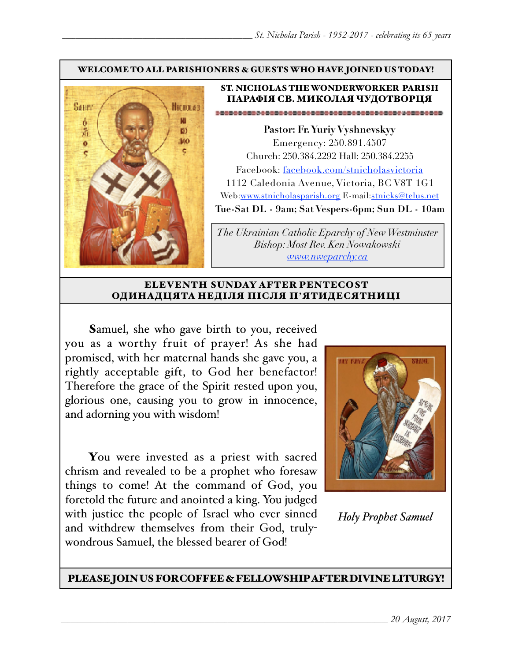#### WELCOME TO ALL PARISHIONERS & GUESTS WHO HAVE JOINED US TODAY!



### ST. NICHOLAS THE WONDERWORKER PARISH ПАРАФІЯ СВ. МИКОЛАЯ ЧУДОТВОРЦЯ

**Pastor: Fr. Yuriy Vyshnevskyy** Emergency: 250.891.4507 Church: 250.384.2292 Hall: 250.384.2255 Facebook: facebook.com/stnicholasvictoria 1112 Caledonia Avenue, Victoria, BC V8T 1G1 Web[:www.stnicholasparish.org](http://www.stnicholasparish.org) E-mail:[stnicks@telus.net](mailto:stnicks@telus.net) **Tue-Sat DL - 9am; Sat Vespers-6pm; Sun DL - 10am**

*The Ukrainian Catholic Eparchy of New Westminster Bishop: Most Rev. Ken Nowakowski [www.nweparchy.ca](http://www.nweparchy.ca)*

#### ELEVENTH SUNDAY AFTER PENTECOST ОДИНАДЦЯТА НЕДІЛЯ ПІСЛЯ П**'**ЯТИДЕСЯТНИЦІ

Samuel, she who gave birth to you, received you as a worthy fruit of prayer! As she had promised, with her maternal hands she gave you, a rightly acceptable gift, to God her benefactor! Therefore the grace of the Spirit rested upon you, glorious one, causing you to grow in innocence, and adorning you with wisdom!

You were invested as a priest with sacred chrism and revealed to be a prophet who foresaw things to come! At the command of God, you foretold the future and anointed a king. You judged with justice the people of Israel who ever sinned and withdrew themselves from their God, trulywondrous Samuel, the blessed bearer of God!



*Holy Prophet Samuel*

PLEASE JOIN US FOR COFFEE & FELLOWSHIP AFTER DIVINE LITURGY!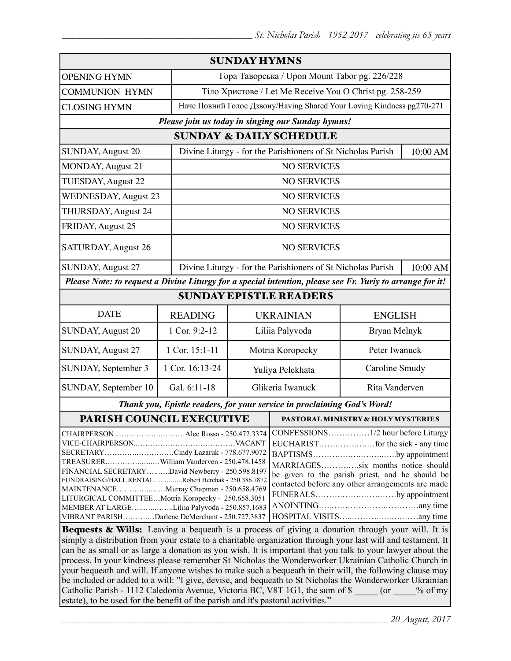| <b>SUNDAY HYMNS</b>                                                                                                                                                                                                                                                                                                                                                                                                                                                                                                                                                                                                                                                                                                                                         |                 |                                                             |                                                             |                                                                       |              |  |
|-------------------------------------------------------------------------------------------------------------------------------------------------------------------------------------------------------------------------------------------------------------------------------------------------------------------------------------------------------------------------------------------------------------------------------------------------------------------------------------------------------------------------------------------------------------------------------------------------------------------------------------------------------------------------------------------------------------------------------------------------------------|-----------------|-------------------------------------------------------------|-------------------------------------------------------------|-----------------------------------------------------------------------|--------------|--|
| <b>OPENING HYMN</b>                                                                                                                                                                                                                                                                                                                                                                                                                                                                                                                                                                                                                                                                                                                                         |                 | Гора Таворська / Upon Mount Tabor pg. 226/228               |                                                             |                                                                       |              |  |
| <b>COMMUNION HYMN</b>                                                                                                                                                                                                                                                                                                                                                                                                                                                                                                                                                                                                                                                                                                                                       |                 |                                                             | Тіло Христове / Let Me Receive You O Christ pg. 258-259     |                                                                       |              |  |
| <b>CLOSING HYMN</b>                                                                                                                                                                                                                                                                                                                                                                                                                                                                                                                                                                                                                                                                                                                                         |                 |                                                             |                                                             | Наче Повний Голос Дзвону/Having Shared Your Loving Kindness pg270-271 |              |  |
| Please join us today in singing our Sunday hymns!                                                                                                                                                                                                                                                                                                                                                                                                                                                                                                                                                                                                                                                                                                           |                 |                                                             |                                                             |                                                                       |              |  |
| <b>SUNDAY &amp; DAILY SCHEDULE</b>                                                                                                                                                                                                                                                                                                                                                                                                                                                                                                                                                                                                                                                                                                                          |                 |                                                             |                                                             |                                                                       |              |  |
| <b>SUNDAY, August 20</b>                                                                                                                                                                                                                                                                                                                                                                                                                                                                                                                                                                                                                                                                                                                                    |                 | Divine Liturgy - for the Parishioners of St Nicholas Parish |                                                             |                                                                       | 10:00 AM     |  |
| MONDAY, August 21                                                                                                                                                                                                                                                                                                                                                                                                                                                                                                                                                                                                                                                                                                                                           |                 |                                                             | <b>NO SERVICES</b>                                          |                                                                       |              |  |
| TUESDAY, August 22                                                                                                                                                                                                                                                                                                                                                                                                                                                                                                                                                                                                                                                                                                                                          |                 |                                                             | <b>NO SERVICES</b>                                          |                                                                       |              |  |
| <b>WEDNESDAY, August 23</b>                                                                                                                                                                                                                                                                                                                                                                                                                                                                                                                                                                                                                                                                                                                                 |                 |                                                             | <b>NO SERVICES</b>                                          |                                                                       |              |  |
| THURSDAY, August 24                                                                                                                                                                                                                                                                                                                                                                                                                                                                                                                                                                                                                                                                                                                                         |                 | <b>NO SERVICES</b>                                          |                                                             |                                                                       |              |  |
| FRIDAY, August 25                                                                                                                                                                                                                                                                                                                                                                                                                                                                                                                                                                                                                                                                                                                                           |                 | <b>NO SERVICES</b>                                          |                                                             |                                                                       |              |  |
| SATURDAY, August 26                                                                                                                                                                                                                                                                                                                                                                                                                                                                                                                                                                                                                                                                                                                                         |                 | <b>NO SERVICES</b>                                          |                                                             |                                                                       |              |  |
| SUNDAY, August 27                                                                                                                                                                                                                                                                                                                                                                                                                                                                                                                                                                                                                                                                                                                                           |                 |                                                             | Divine Liturgy - for the Parishioners of St Nicholas Parish |                                                                       | 10:00 AM     |  |
| Please Note: to request a Divine Liturgy for a special intention, please see Fr. Yuriy to arrange for it!                                                                                                                                                                                                                                                                                                                                                                                                                                                                                                                                                                                                                                                   |                 |                                                             |                                                             |                                                                       |              |  |
| <b>SUNDAY EPISTLE READERS</b>                                                                                                                                                                                                                                                                                                                                                                                                                                                                                                                                                                                                                                                                                                                               |                 |                                                             |                                                             |                                                                       |              |  |
| <b>DATE</b>                                                                                                                                                                                                                                                                                                                                                                                                                                                                                                                                                                                                                                                                                                                                                 | <b>READING</b>  | <b>UKRAINIAN</b><br><b>ENGLISH</b>                          |                                                             |                                                                       |              |  |
| <b>SUNDAY, August 20</b>                                                                                                                                                                                                                                                                                                                                                                                                                                                                                                                                                                                                                                                                                                                                    | 1 Cor. 9:2-12   | Liliia Palyvoda                                             |                                                             |                                                                       | Bryan Melnyk |  |
| <b>SUNDAY, August 27</b>                                                                                                                                                                                                                                                                                                                                                                                                                                                                                                                                                                                                                                                                                                                                    | 1 Cor. 15:1-11  | Motria Koropecky                                            |                                                             | Peter Iwanuck                                                         |              |  |
| SUNDAY, September 3                                                                                                                                                                                                                                                                                                                                                                                                                                                                                                                                                                                                                                                                                                                                         | 1 Cor. 16:13-24 | Yuliya Pelekhata                                            |                                                             | Caroline Smudy                                                        |              |  |
| SUNDAY, September 10                                                                                                                                                                                                                                                                                                                                                                                                                                                                                                                                                                                                                                                                                                                                        | Gal. 6:11-18    | Glikeria Iwanuck                                            |                                                             | Rita Vanderven                                                        |              |  |
| Thank you, Epistle readers, for your service in proclaiming God's Word!                                                                                                                                                                                                                                                                                                                                                                                                                                                                                                                                                                                                                                                                                     |                 |                                                             |                                                             |                                                                       |              |  |
| <b>PARISH COUNCIL EXECUTIVE</b>                                                                                                                                                                                                                                                                                                                                                                                                                                                                                                                                                                                                                                                                                                                             |                 |                                                             | <b>PASTORAL MINISTRY &amp; HOLY MYSTERIES</b>               |                                                                       |              |  |
| CHAIRPERSONAlec Rossa - 250.472.3374<br>SECRETARYCindy Lazaruk - 778.677.9072<br>BAPTISMSby appointment<br>TREASURERWilliam Vanderven - 250.478.1458<br>MARRIAGESsix months notice should<br>FINANCIAL SECRETARYDavid Newberry - 250.598.8197<br>be given to the parish priest, and he should be<br>FUNDRAISING/HALL RENTALRobert Herchak - 250.386.7872<br>contacted before any other arrangements are made<br>MAINTENANCEMurray Chapman - 250.658.4769<br>FUNERALSby appointment<br>LITURGICAL COMMITTEEMotria Koropecky - 250.658.3051<br>MEMBER AT LARGELiliia Palyvoda - 250.857.1683<br>VIBRANT PARISHDarlene DeMerchant - 250.727.3837<br><b>Bequests &amp; Wills:</b> Leaving a bequeath is a process of giving a donation through your will. It is |                 |                                                             |                                                             |                                                                       |              |  |
| simply a distribution from your estate to a charitable organization through your last will and testament. It                                                                                                                                                                                                                                                                                                                                                                                                                                                                                                                                                                                                                                                |                 |                                                             |                                                             |                                                                       |              |  |

can be as small or as large a donation as you wish. It is important that you talk to your lawyer about the process. In your kindness please remember St Nicholas the Wonderworker Ukrainian Catholic Church in your bequeath and will. If anyone wishes to make such a bequeath in their will, the following clause may be included or added to a will: "I give, devise, and bequeath to St Nicholas the Wonderworker Ukrainian Catholic Parish - 1112 Caledonia Avenue, Victoria BC, V8T 1G1, the sum of \$  $\qquad \qquad$  (or  $\qquad \qquad$  % of my estate), to be used for the benefit of the parish and it's pastoral activities."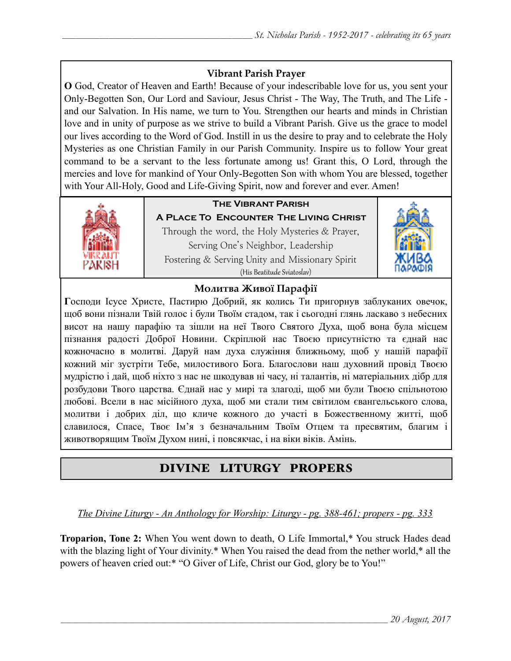## **Vibrant Parish Prayer**

**O** God, Creator of Heaven and Earth! Because of your indescribable love for us, you sent your Only-Begotten Son, Our Lord and Saviour, Jesus Christ - The Way, The Truth, and The Life and our Salvation. In His name, we turn to You. Strengthen our hearts and minds in Christian love and in unity of purpose as we strive to build a Vibrant Parish. Give us the grace to model our lives according to the Word of God. Instill in us the desire to pray and to celebrate the Holy Mysteries as one Christian Family in our Parish Community. Inspire us to follow Your great command to be a servant to the less fortunate among us! Grant this, O Lord, through the mercies and love for mankind of Your Only-Begotten Son with whom You are blessed, together with Your All-Holy, Good and Life-Giving Spirit, now and forever and ever. Amen!



## **The Vibrant Parish**

**A Place To Encounter The Living Christ** Through the word, the Holy Mysteries & Prayer, Serving One's Neighbor, Leadership Fostering & Serving Unity and Missionary Spirit (His Beatitude Sviatoslav)



### **Молитва Живої Парафії**

**Г**осподи Ісусе Христе, Пастирю Добрий, як колись Ти пригорнув заблуканих овечок, щоб вони пізнали Твій голос і були Твоїм стадом, так і сьогодні глянь ласкаво з небесних висот на нашу парафію та зішли на неї Твого Святого Духа, щоб вона була місцем пізнання радості Доброї Новини. Скріплюй нас Твоєю присутністю та єднай нас кожночасно в молитві. Даруй нам духа служіння ближньому, щоб у нашій парафії кожний міг зустріти Тебе, милостивого Бога. Благослови наш духовний провід Твоєю мудрістю і дай, щоб ніхто з нас не шкодував ні часу, ні талантів, ні матеріальних дібр для розбудови Твого царства. Єднай нас у мирі та злагоді, щоб ми були Твоєю спільнотою любові. Всели в нас місійного духа, щоб ми стали тим світилом євангельського слова, молитви і добрих діл, що кличе кожного до участі в Божественному житті, щоб славилося, Спасе, Твоє Ім'я з безначальним Твоїм Отцем та пресвятим, благим і животворящим Твоїм Духом нині, і повсякчас, і на віки віків. Амінь.

# DIVINE LITURGY PROPERS

### *The Divine Liturgy - An Anthology for Worship: Liturgy - pg. 388-461; propers - pg. 333*

**Troparion, Tone 2:** When You went down to death, O Life Immortal,\* You struck Hades dead with the blazing light of Your divinity.\* When You raised the dead from the nether world,\* all the powers of heaven cried out:\* "O Giver of Life, Christ our God, glory be to You!"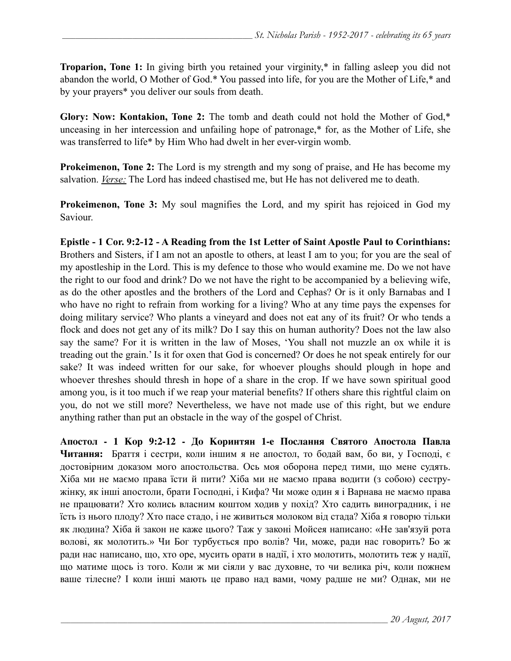**Troparion, Tone 1:** In giving birth you retained your virginity,\* in falling asleep you did not abandon the world, O Mother of God.\* You passed into life, for you are the Mother of Life,\* and by your prayers\* you deliver our souls from death.

**Glory: Now: Kontakion, Tone 2:** The tomb and death could not hold the Mother of God,\* unceasing in her intercession and unfailing hope of patronage,\* for, as the Mother of Life, she was transferred to life\* by Him Who had dwelt in her ever-virgin womb.

**Prokeimenon, Tone 2:** The Lord is my strength and my song of praise, and He has become my salvation. *Verse:* The Lord has indeed chastised me, but He has not delivered me to death.

**Prokeimenon, Tone 3:** My soul magnifies the Lord, and my spirit has rejoiced in God my Saviour.

**Epistle - 1 Cor. 9:2-12 - A Reading from the 1st Letter of Saint Apostle Paul to Corinthians:**  Brothers and Sisters, if I am not an apostle to others, at least I am to you; for you are the seal of my apostleship in the Lord. This is my defence to those who would examine me. Do we not have the right to our food and drink? Do we not have the right to be accompanied by a believing wife, as do the other apostles and the brothers of the Lord and Cephas? Or is it only Barnabas and I who have no right to refrain from working for a living? Who at any time pays the expenses for doing military service? Who plants a vineyard and does not eat any of its fruit? Or who tends a flock and does not get any of its milk? Do I say this on human authority? Does not the law also say the same? For it is written in the law of Moses, 'You shall not muzzle an ox while it is treading out the grain.' Is it for oxen that God is concerned? Or does he not speak entirely for our sake? It was indeed written for our sake, for whoever ploughs should plough in hope and whoever threshes should thresh in hope of a share in the crop. If we have sown spiritual good among you, is it too much if we reap your material benefits? If others share this rightful claim on you, do not we still more? Nevertheless, we have not made use of this right, but we endure anything rather than put an obstacle in the way of the gospel of Christ.

**Апостол - 1 Кор 9:2-12 - До Коринтян 1-e Послання Святого Апостола Павла Читання:** Браття і сестри, коли іншим я не апостол, то бодай вам, бо ви, у Господі, є достовірним доказом мого апостольства. Ось моя оборона перед тими, що мене судять. Хіба ми не маємо права їсти й пити? Хіба ми не маємо права водити (з собою) сестружінку, як інші апостоли, брати Господні, і Кифа? Чи може один я і Варнава не маємо права не працювати? Хто колись власним коштом ходив у похід? Хто садить виноградник, і не їсть із нього плоду? Хто пасе стадо, і не живиться молоком від стада? Хіба я говорю тільки як людина? Хіба й закон не каже цього? Таж у законі Мойсея написано: «Не зав'язуй рота волові, як молотить.» Чи Бог турбується про волів? Чи, може, ради нас говорить? Бо ж ради нас написано, що, хто оре, мусить орати в надії, і хто молотить, молотить теж у надії, що матиме щось із того. Коли ж ми сіяли у вас духовне, то чи велика річ, коли пожнем ваше тілесне? І коли інші мають це право над вами, чому радше не ми? Однак, ми не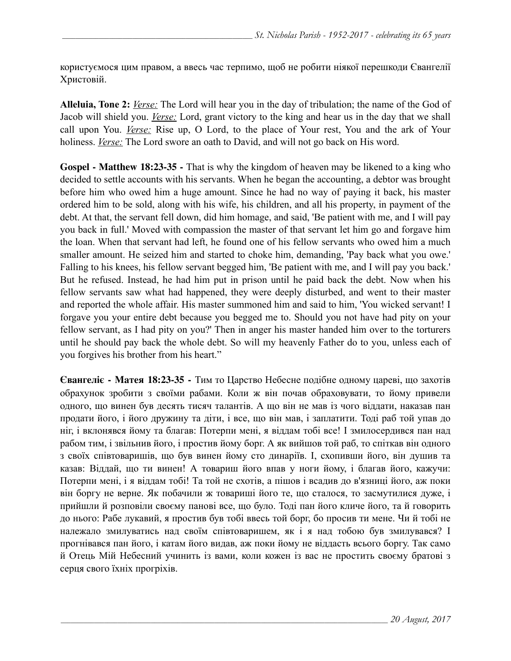користуємося цим правом, а ввесь час терпимо, щоб не робити ніякої перешкоди Євангелії Христовій.

**Alleluia, Tone 2:** *Verse:* The Lord will hear you in the day of tribulation; the name of the God of Jacob will shield you. *Verse:* Lord, grant victory to the king and hear us in the day that we shall call upon You. *Verse:* Rise up, O Lord, to the place of Your rest, You and the ark of Your holiness. *Verse:* The Lord swore an oath to David, and will not go back on His word.

**Gospel - Matthew 18:23-35 -** That is why the kingdom of heaven may be likened to a king who decided to settle accounts with his servants. When he began the accounting, a debtor was brought before him who owed him a huge amount. Since he had no way of paying it back, his master ordered him to be sold, along with his wife, his children, and all his property, in payment of the debt. At that, the servant fell down, did him homage, and said, 'Be patient with me, and I will pay you back in full.' Moved with compassion the master of that servant let him go and forgave him the loan. When that servant had left, he found one of his fellow servants who owed him a much smaller amount. He seized him and started to choke him, demanding, 'Pay back what you owe.' Falling to his knees, his fellow servant begged him, 'Be patient with me, and I will pay you back.' But he refused. Instead, he had him put in prison until he paid back the debt. Now when his fellow servants saw what had happened, they were deeply disturbed, and went to their master and reported the whole affair. His master summoned him and said to him, 'You wicked servant! I forgave you your entire debt because you begged me to. Should you not have had pity on your fellow servant, as I had pity on you?' Then in anger his master handed him over to the torturers until he should pay back the whole debt. So will my heavenly Father do to you, unless each of you forgives his brother from his heart."

**Євангеліє - Матея 18:23-35 -** Тим то Царство Небесне подібне одному цареві, що захотів обрахунок зробити з своїми рабами. Коли ж він почав обраховувати, то йому привели одного, що винен був десять тисяч талантів. А що він не мав із чого віддати, наказав пан продати його, і його дружину та діти, і все, що він мав, і заплатити. Тоді раб той упав до ніг, і вклонявся йому та благав: Потерпи мені, я віддам тобі все! І змилосердився пан над рабом тим, і звільнив його, і простив йому борг. А як вийшов той раб, то спіткав він одного з своїх співтоваришів, що був винен йому сто динаріїв. І, схопивши його, він душив та казав: Віддай, що ти винен! А товариш його впав у ноги йому, і благав його, кажучи: Потерпи мені, і я віддам тобі! Та той не схотів, а пішов і всадив до в'язниці його, аж поки він боргу не верне. Як побачили ж товариші його те, що сталося, то засмутилися дуже, і прийшли й розповіли своєму панові все, що було. Тоді пан його кличе його, та й говорить до нього: Рабе лукавий, я простив був тобі ввесь той борг, бо просив ти мене. Чи й тобі не належало змилуватись над своїм співтоваришем, як і я над тобою був змилувався? І прогнівався пан його, і катам його видав, аж поки йому не віддасть всього боргу. Так само й Отець Мій Небесний учинить із вами, коли кожен із вас не простить своєму братові з серця свого їхніх прогріхів.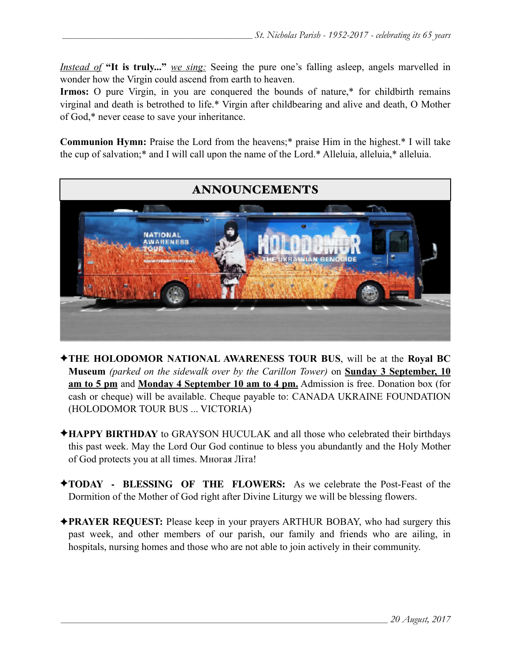*Instead of* **"It is truly..."** *we sing:* Seeing the pure one's falling asleep, angels marvelled in wonder how the Virgin could ascend from earth to heaven.

**Irmos:** O pure Virgin, in you are conquered the bounds of nature,\* for childbirth remains virginal and death is betrothed to life.\* Virgin after childbearing and alive and death, O Mother of God,\* never cease to save your inheritance.

**Communion Hymn:** Praise the Lord from the heavens;\* praise Him in the highest.\* I will take the cup of salvation;\* and I will call upon the name of the Lord.\* Alleluia, alleluia,\* alleluia.



- ✦**THE HOLODOMOR NATIONAL AWARENESS TOUR BUS**, will be at the **Royal BC Museum** *(parked on the sidewalk over by the Carillon Tower)* on **Sunday 3 September, 10 am to 5 pm** and **Monday 4 September 10 am to 4 pm.** Admission is free. Donation box (for cash or cheque) will be available. Cheque payable to: CANADA UKRAINE FOUNDATION (HOLODOMOR TOUR BUS ... VICTORIA)
- ✦**HAPPY BIRTHDAY** to GRAYSON HUCULAK and all those who celebrated their birthdays this past week. May the Lord Our God continue to bless you abundantly and the Holy Mother of God protects you at all times. Многая Літа!
- ✦**TODAY BLESSING OF THE FLOWERS:** As we celebrate the Post-Feast of the Dormition of the Mother of God right after Divine Liturgy we will be blessing flowers.
- ✦**PRAYER REQUEST:** Please keep in your prayers ARTHUR BOBAY, who had surgery this past week, and other members of our parish, our family and friends who are ailing, in hospitals, nursing homes and those who are not able to join actively in their community.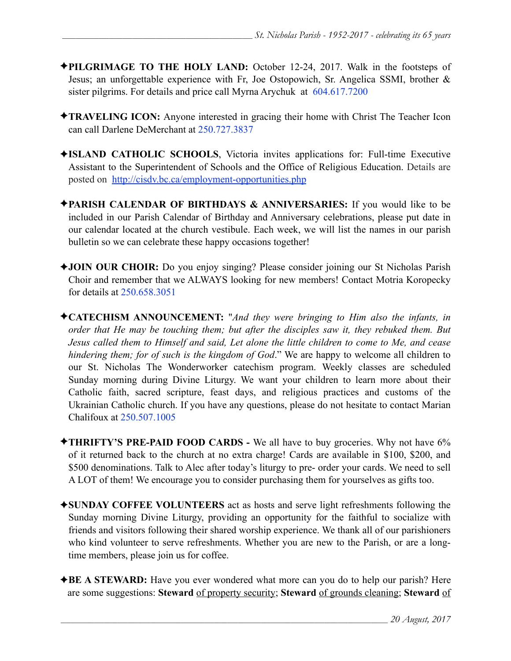- ✦**PILGRIMAGE TO THE HOLY LAND:** October 12-24, 2017. Walk in the footsteps of Jesus; an unforgettable experience with Fr, Joe Ostopowich, Sr. Angelica SSMI, brother & sister pilgrims. For details and price call Myrna Arychuk at 604.617.7200
- ✦**TRAVELING ICON:** Anyone interested in gracing their home with Christ The Teacher Icon can call Darlene DeMerchant at 250.727.3837
- ✦**ISLAND CATHOLIC SCHOOLS**, Victoria invites applications for: Full-time Executive Assistant to the Superintendent of Schools and the Office of Religious Education. Details are posted on <http://cisdv.bc.ca/employment-opportunities.php>
- ✦**PARISH CALENDAR OF BIRTHDAYS & ANNIVERSARIES:** If you would like to be included in our Parish Calendar of Birthday and Anniversary celebrations, please put date in our calendar located at the church vestibule. Each week, we will list the names in our parish bulletin so we can celebrate these happy occasions together!
- ✦**JOIN OUR CHOIR:** Do you enjoy singing? Please consider joining our St Nicholas Parish Choir and remember that we ALWAYS looking for new members! Contact Motria Koropecky for details at 250.658.3051
- ✦**CATECHISM ANNOUNCEMENT:** "*And they were bringing to Him also the infants, in order that He may be touching them; but after the disciples saw it, they rebuked them. But Jesus called them to Himself and said, Let alone the little children to come to Me, and cease hindering them; for of such is the kingdom of God*." We are happy to welcome all children to our St. Nicholas The Wonderworker catechism program. Weekly classes are scheduled Sunday morning during Divine Liturgy. We want your children to learn more about their Catholic faith, sacred scripture, feast days, and religious practices and customs of the Ukrainian Catholic church. If you have any questions, please do not hesitate to contact Marian Chalifoux at 250.507.1005
- ✦**THRIFTY'S PRE-PAID FOOD CARDS** We all have to buy groceries. Why not have 6% of it returned back to the church at no extra charge! Cards are available in \$100, \$200, and \$500 denominations. Talk to Alec after today's liturgy to pre- order your cards. We need to sell A LOT of them! We encourage you to consider purchasing them for yourselves as gifts too.
- ✦**SUNDAY COFFEE VOLUNTEERS** act as hosts and serve light refreshments following the Sunday morning Divine Liturgy, providing an opportunity for the faithful to socialize with friends and visitors following their shared worship experience. We thank all of our parishioners who kind volunteer to serve refreshments. Whether you are new to the Parish, or are a longtime members, please join us for coffee.
- ✦**BE A STEWARD:** Have you ever wondered what more can you do to help our parish? Here are some suggestions: **Steward** of property security; **Steward** of grounds cleaning; **Steward** of